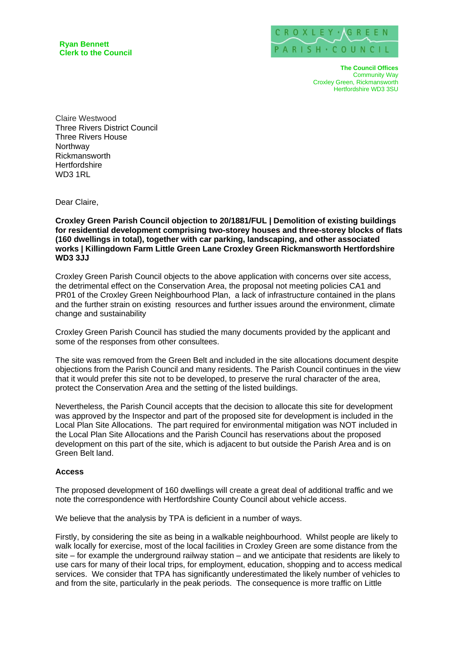**Ryan Bennett Clerk to the Council**



**The Council Offices**  Community Way Croxley Green, Rickmansworth Hertfordshire WD3 3SU

Claire Westwood Three Rivers District Council Three Rivers House Northway Rickmansworth **Hertfordshire** WD3 1RL

Dear Claire,

**Croxley Green Parish Council objection to 20/1881/FUL | Demolition of existing buildings for residential development comprising two-storey houses and three-storey blocks of flats (160 dwellings in total), together with car parking, landscaping, and other associated works | Killingdown Farm Little Green Lane Croxley Green Rickmansworth Hertfordshire WD3 3JJ**

Croxley Green Parish Council objects to the above application with concerns over site access, the detrimental effect on the Conservation Area, the proposal not meeting policies CA1 and PR01 of the Croxley Green Neighbourhood Plan, a lack of infrastructure contained in the plans and the further strain on existing resources and further issues around the environment, climate change and sustainability

Croxley Green Parish Council has studied the many documents provided by the applicant and some of the responses from other consultees.

The site was removed from the Green Belt and included in the site allocations document despite objections from the Parish Council and many residents. The Parish Council continues in the view that it would prefer this site not to be developed, to preserve the rural character of the area, protect the Conservation Area and the setting of the listed buildings.

Nevertheless, the Parish Council accepts that the decision to allocate this site for development was approved by the Inspector and part of the proposed site for development is included in the Local Plan Site Allocations. The part required for environmental mitigation was NOT included in the Local Plan Site Allocations and the Parish Council has reservations about the proposed development on this part of the site, which is adjacent to but outside the Parish Area and is on Green Belt land.

# **Access**

The proposed development of 160 dwellings will create a great deal of additional traffic and we note the correspondence with Hertfordshire County Council about vehicle access.

We believe that the analysis by TPA is deficient in a number of ways.

Firstly, by considering the site as being in a walkable neighbourhood. Whilst people are likely to walk locally for exercise, most of the local facilities in Croxley Green are some distance from the site – for example the underground railway station – and we anticipate that residents are likely to use cars for many of their local trips, for employment, education, shopping and to access medical services. We consider that TPA has significantly underestimated the likely number of vehicles to and from the site, particularly in the peak periods. The consequence is more traffic on Little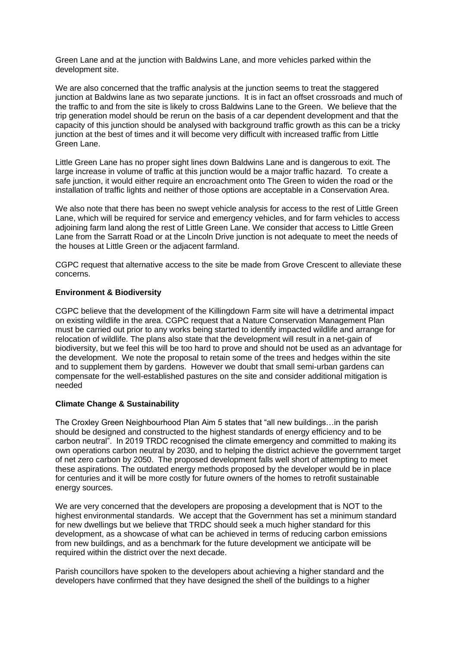Green Lane and at the junction with Baldwins Lane, and more vehicles parked within the development site.

We are also concerned that the traffic analysis at the junction seems to treat the staggered junction at Baldwins lane as two separate junctions. It is in fact an offset crossroads and much of the traffic to and from the site is likely to cross Baldwins Lane to the Green. We believe that the trip generation model should be rerun on the basis of a car dependent development and that the capacity of this junction should be analysed with background traffic growth as this can be a tricky junction at the best of times and it will become very difficult with increased traffic from Little Green Lane.

Little Green Lane has no proper sight lines down Baldwins Lane and is dangerous to exit. The large increase in volume of traffic at this junction would be a major traffic hazard. To create a safe junction, it would either require an encroachment onto The Green to widen the road or the installation of traffic lights and neither of those options are acceptable in a Conservation Area.

We also note that there has been no swept vehicle analysis for access to the rest of Little Green Lane, which will be required for service and emergency vehicles, and for farm vehicles to access adjoining farm land along the rest of Little Green Lane. We consider that access to Little Green Lane from the Sarratt Road or at the Lincoln Drive junction is not adequate to meet the needs of the houses at Little Green or the adjacent farmland.

CGPC request that alternative access to the site be made from Grove Crescent to alleviate these concerns.

# **Environment & Biodiversity**

CGPC believe that the development of the Killingdown Farm site will have a detrimental impact on existing wildlife in the area. CGPC request that a Nature Conservation Management Plan must be carried out prior to any works being started to identify impacted wildlife and arrange for relocation of wildlife. The plans also state that the development will result in a net-gain of biodiversity, but we feel this will be too hard to prove and should not be used as an advantage for the development. We note the proposal to retain some of the trees and hedges within the site and to supplement them by gardens. However we doubt that small semi-urban gardens can compensate for the well-established pastures on the site and consider additional mitigation is needed

# **Climate Change & Sustainability**

The Croxley Green Neighbourhood Plan Aim 5 states that "all new buildings…in the parish should be designed and constructed to the highest standards of energy efficiency and to be carbon neutral". In 2019 TRDC recognised the climate emergency and committed to making its own operations carbon neutral by 2030, and to helping the district achieve the government target of net zero carbon by 2050. The proposed development falls well short of attempting to meet these aspirations. The outdated energy methods proposed by the developer would be in place for centuries and it will be more costly for future owners of the homes to retrofit sustainable energy sources.

We are very concerned that the developers are proposing a development that is NOT to the highest environmental standards. We accept that the Government has set a minimum standard for new dwellings but we believe that TRDC should seek a much higher standard for this development, as a showcase of what can be achieved in terms of reducing carbon emissions from new buildings, and as a benchmark for the future development we anticipate will be required within the district over the next decade.

Parish councillors have spoken to the developers about achieving a higher standard and the developers have confirmed that they have designed the shell of the buildings to a higher